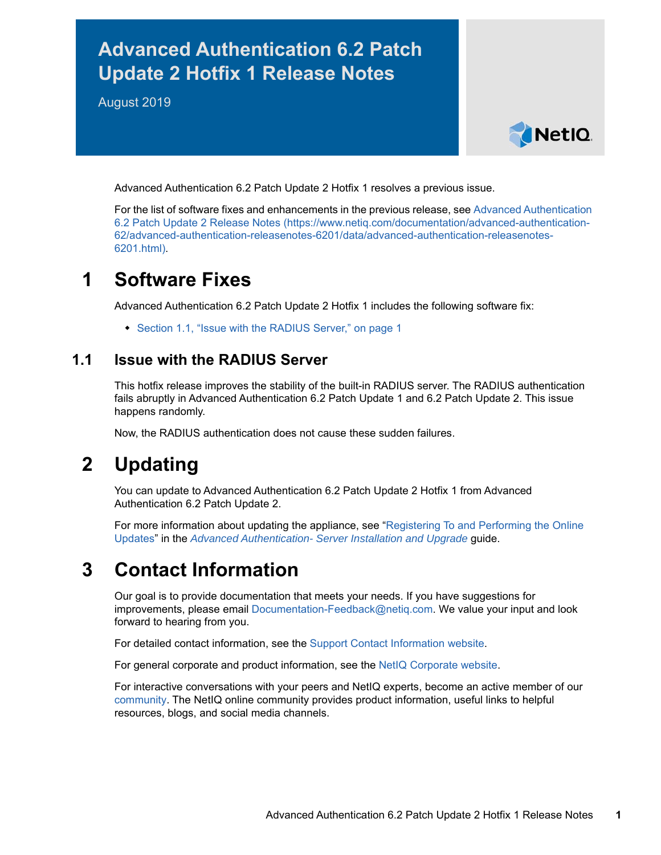# **Advanced Authentication 6.2 Patch Update 2 Hotfix 1 Release Notes**

August 2019



Advanced Authentication 6.2 Patch Update 2 Hotfix 1 resolves a previous issue.

For the list of software fixes and enhancements in the previous release, see [Advanced Authentication](https://www.netiq.com/documentation/advanced-authentication-62/advanced-authentication-releasenotes-6201/data/advanced-authentication-releasenotes-6201.html)  [6.2 Patch Update 2 Release Notes](https://www.netiq.com/documentation/advanced-authentication-62/advanced-authentication-releasenotes-6201/data/advanced-authentication-releasenotes-6201.html) (https://www.netiq.com/documentation/advanced-authentication-62/advanced-authentication-releasenotes-6201/data/advanced-authentication-releasenotes-6201.html).

### **1 Software Fixes**

Advanced Authentication 6.2 Patch Update 2 Hotfix 1 includes the following software fix:

• [Section 1.1, "Issue with the RADIUS Server," on page 1](#page-0-0)

#### <span id="page-0-0"></span>**1.1 Issue with the RADIUS Server**

This hotfix release improves the stability of the built-in RADIUS server. The RADIUS authentication fails abruptly in Advanced Authentication 6.2 Patch Update 1 and 6.2 Patch Update 2. This issue happens randomly.

Now, the RADIUS authentication does not cause these sudden failures.

### **2 Updating**

You can update to Advanced Authentication 6.2 Patch Update 2 Hotfix 1 from Advanced Authentication 6.2 Patch Update 2.

For more information about updating the appliance, see "[Registering To and Performing the Online](https://www.netiq.com/documentation/advanced-authentication-62/pdfdoc/install-upgrade-guide/install-upgrade-guide.pdf#onlineupdate)  Updates" in the *[Advanced Authentication- Server Installation and Upgrade](https://www.netiq.com/documentation/advanced-authentication-62/pdfdoc/install-upgrade-guide/install-upgrade-guide.pdf#bookinfo)* guide.

## **3 Contact Information**

Our goal is to provide documentation that meets your needs. If you have suggestions for improvements, please email [Documentation-Feedback@netiq.com](mailto:Documentation-Feedback@netiq.com). We value your input and look forward to hearing from you.

For detailed contact information, see the [Support Contact Information website.](http://www.netiq.com/support/process.asp#phone)

For general corporate and product information, see the [NetIQ Corporate website.](http://www.netiq.com/)

For interactive conversations with your peers and NetIQ experts, become an active member of our [community](https://www.netiq.com/communities/). The NetIQ online community provides product information, useful links to helpful resources, blogs, and social media channels.